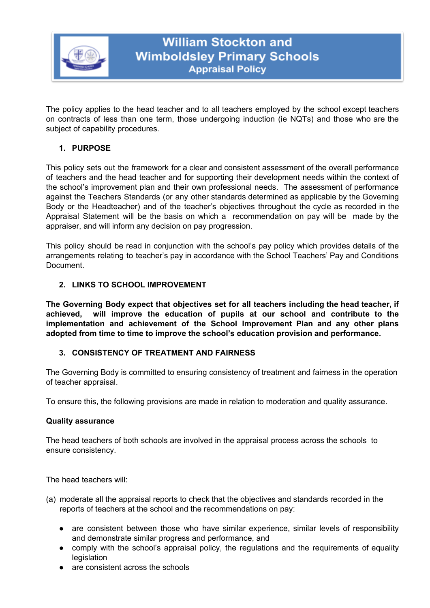

The policy applies to the head teacher and to all teachers employed by the school except teachers on contracts of less than one term, those undergoing induction (ie NQTs) and those who are the subject of capability procedures.

# **1. PURPOSE**

This policy sets out the framework for a clear and consistent assessment of the overall performance of teachers and the head teacher and for supporting their development needs within the context of the school's improvement plan and their own professional needs. The assessment of performance against the Teachers Standards (or any other standards determined as applicable by the Governing Body or the Headteacher) and of the teacher's objectives throughout the cycle as recorded in the Appraisal Statement will be the basis on which a recommendation on pay will be made by the appraiser, and will inform any decision on pay progression.

This policy should be read in conjunction with the school's pay policy which provides details of the arrangements relating to teacher's pay in accordance with the School Teachers' Pay and Conditions Document.

# **2. LINKS TO SCHOOL IMPROVEMENT**

**The Governing Body expect that objectives set for all teachers including the head teacher, if achieved, will improve the education of pupils at our school and contribute to the implementation and achievement of the School Improvement Plan and any other plans adopted from time to time to improve the school's education provision and performance.**

## **3. CONSISTENCY OF TREATMENT AND FAIRNESS**

The Governing Body is committed to ensuring consistency of treatment and fairness in the operation of teacher appraisal.

To ensure this, the following provisions are made in relation to moderation and quality assurance.

## **Quality assurance**

The head teachers of both schools are involved in the appraisal process across the schools to ensure consistency.

The head teachers will:

- (a) moderate all the appraisal reports to check that the objectives and standards recorded in the reports of teachers at the school and the recommendations on pay:
	- are consistent between those who have similar experience, similar levels of responsibility and demonstrate similar progress and performance, and
	- comply with the school's appraisal policy, the regulations and the requirements of equality **legislation**
	- are consistent across the schools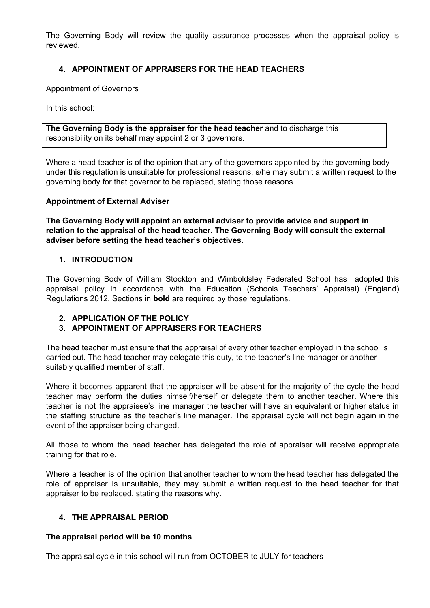The Governing Body will review the quality assurance processes when the appraisal policy is reviewed.

# **4. APPOINTMENT OF APPRAISERS FOR THE HEAD TEACHERS**

Appointment of Governors

In this school:

**The Governing Body is the appraiser for the head teacher** and to discharge this responsibility on its behalf may appoint 2 or 3 governors.

Where a head teacher is of the opinion that any of the governors appointed by the governing body under this regulation is unsuitable for professional reasons, s/he may submit a written request to the governing body for that governor to be replaced, stating those reasons.

## **Appointment of External Adviser**

**The Governing Body will appoint an external adviser to provide advice and support in relation to the appraisal of the head teacher. The Governing Body will consult the external adviser before setting the head teacher's objectives.**

#### **1. INTRODUCTION**

The Governing Body of William Stockton and Wimboldsley Federated School has adopted this appraisal policy in accordance with the Education (Schools Teachers' Appraisal) (England) Regulations 2012. Sections in **bold** are required by those regulations.

## **2. APPLICATION OF THE POLICY**

## **3. APPOINTMENT OF APPRAISERS FOR TEACHERS**

The head teacher must ensure that the appraisal of every other teacher employed in the school is carried out. The head teacher may delegate this duty, to the teacher's line manager or another suitably qualified member of staff.

Where it becomes apparent that the appraiser will be absent for the majority of the cycle the head teacher may perform the duties himself/herself or delegate them to another teacher. Where this teacher is not the appraisee's line manager the teacher will have an equivalent or higher status in the staffing structure as the teacher's line manager. The appraisal cycle will not begin again in the event of the appraiser being changed.

All those to whom the head teacher has delegated the role of appraiser will receive appropriate training for that role.

Where a teacher is of the opinion that another teacher to whom the head teacher has delegated the role of appraiser is unsuitable, they may submit a written request to the head teacher for that appraiser to be replaced, stating the reasons why.

## **4. THE APPRAISAL PERIOD**

#### **The appraisal period will be 10 months**

The appraisal cycle in this school will run from OCTOBER to JULY for teachers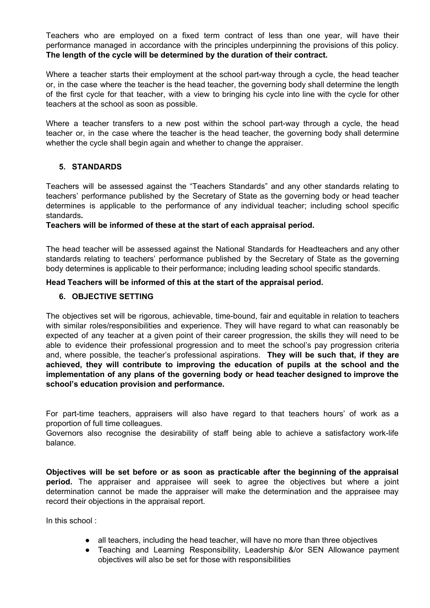Teachers who are employed on a fixed term contract of less than one year, will have their performance managed in accordance with the principles underpinning the provisions of this policy. **The length of the cycle will be determined by the duration of their contract.**

Where a teacher starts their employment at the school part-way through a cycle, the head teacher or, in the case where the teacher is the head teacher, the governing body shall determine the length of the first cycle for that teacher, with a view to bringing his cycle into line with the cycle for other teachers at the school as soon as possible.

Where a teacher transfers to a new post within the school part-way through a cycle, the head teacher or, in the case where the teacher is the head teacher, the governing body shall determine whether the cycle shall begin again and whether to change the appraiser.

# **5. STANDARDS**

Teachers will be assessed against the "Teachers Standards" and any other standards relating to teachers' performance published by the Secretary of State as the governing body or head teacher determines is applicable to the performance of any individual teacher; including school specific standards**.**

## **Teachers will be informed of these at the start of each appraisal period.**

The head teacher will be assessed against the National Standards for Headteachers and any other standards relating to teachers' performance published by the Secretary of State as the governing body determines is applicable to their performance; including leading school specific standards.

## **Head Teachers will be informed of this at the start of the appraisal period.**

## **6. OBJECTIVE SETTING**

The objectives set will be rigorous, achievable, time-bound, fair and equitable in relation to teachers with similar roles/responsibilities and experience. They will have regard to what can reasonably be expected of any teacher at a given point of their career progression, the skills they will need to be able to evidence their professional progression and to meet the school's pay progression criteria and, where possible, the teacher's professional aspirations. **They will be such that, if they are achieved, they will contribute to improving the education of pupils at the school and the implementation of any plans of the governing body or head teacher designed to improve the school's education provision and performance.**

For part-time teachers, appraisers will also have regard to that teachers hours' of work as a proportion of full time colleagues.

Governors also recognise the desirability of staff being able to achieve a satisfactory work-life balance.

**Objectives will be set before or as soon as practicable after the beginning of the appraisal period.** The appraiser and appraisee will seek to agree the objectives but where a joint determination cannot be made the appraiser will make the determination and the appraisee may record their objections in the appraisal report.

In this school :

- all teachers, including the head teacher, will have no more than three objectives
- Teaching and Learning Responsibility, Leadership &/or SEN Allowance payment objectives will also be set for those with responsibilities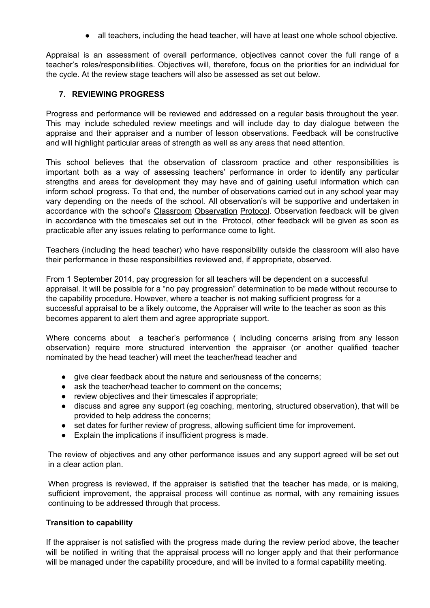● all teachers, including the head teacher, will have at least one whole school objective.

Appraisal is an assessment of overall performance, objectives cannot cover the full range of a teacher's roles/responsibilities. Objectives will, therefore, focus on the priorities for an individual for the cycle. At the review stage teachers will also be assessed as set out below.

## **7. REVIEWING PROGRESS**

Progress and performance will be reviewed and addressed on a regular basis throughout the year. This may include scheduled review meetings and will include day to day dialogue between the appraise and their appraiser and a number of lesson observations. Feedback will be constructive and will highlight particular areas of strength as well as any areas that need attention.

This school believes that the observation of classroom practice and other responsibilities is important both as a way of assessing teachers' performance in order to identify any particular strengths and areas for development they may have and of gaining useful information which can inform school progress. To that end, the number of observations carried out in any school year may vary depending on the needs of the school. All observation's will be supportive and undertaken in accordance with the school's Classroom Observation Protocol. Observation feedback will be given in accordance with the timescales set out in the Protocol, other feedback will be given as soon as practicable after any issues relating to performance come to light.

Teachers (including the head teacher) who have responsibility outside the classroom will also have their performance in these responsibilities reviewed and, if appropriate, observed.

From 1 September 2014, pay progression for all teachers will be dependent on a successful appraisal. It will be possible for a "no pay progression" determination to be made without recourse to the capability procedure. However, where a teacher is not making sufficient progress for a successful appraisal to be a likely outcome, the Appraiser will write to the teacher as soon as this becomes apparent to alert them and agree appropriate support.

Where concerns about a teacher's performance ( including concerns arising from any lesson observation) require more structured intervention the appraiser (or another qualified teacher nominated by the head teacher) will meet the teacher/head teacher and

- give clear feedback about the nature and seriousness of the concerns;
- ask the teacher/head teacher to comment on the concerns;
- review objectives and their timescales if appropriate;
- discuss and agree any support (eg coaching, mentoring, structured observation), that will be provided to help address the concerns;
- set dates for further review of progress, allowing sufficient time for improvement.
- Explain the implications if insufficient progress is made.

The review of objectives and any other performance issues and any support agreed will be set out in a clear action plan.

When progress is reviewed, if the appraiser is satisfied that the teacher has made, or is making, sufficient improvement, the appraisal process will continue as normal, with any remaining issues continuing to be addressed through that process.

## **Transition to capability**

If the appraiser is not satisfied with the progress made during the review period above, the teacher will be notified in writing that the appraisal process will no longer apply and that their performance will be managed under the capability procedure, and will be invited to a formal capability meeting.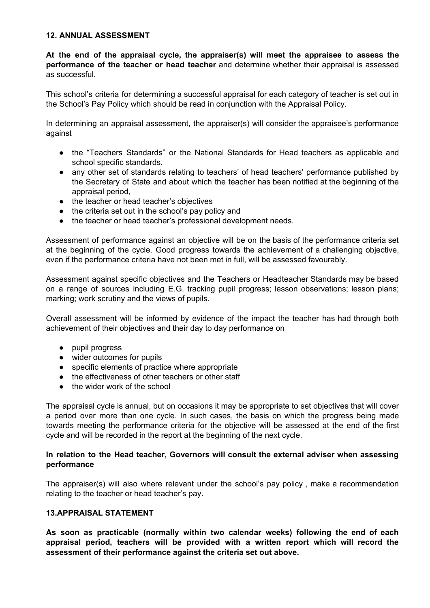## **12. ANNUAL ASSESSMENT**

**At the end of the appraisal cycle, the appraiser(s) will meet the appraisee to assess the performance of the teacher or head teacher** and determine whether their appraisal is assessed as successful.

This school's criteria for determining a successful appraisal for each category of teacher is set out in the School's Pay Policy which should be read in conjunction with the Appraisal Policy.

In determining an appraisal assessment, the appraiser(s) will consider the appraisee's performance against

- the "Teachers Standards" or the National Standards for Head teachers as applicable and school specific standards.
- any other set of standards relating to teachers' of head teachers' performance published by the Secretary of State and about which the teacher has been notified at the beginning of the appraisal period,
- the teacher or head teacher's objectives
- the criteria set out in the school's pay policy and
- the teacher or head teacher's professional development needs.

Assessment of performance against an objective will be on the basis of the performance criteria set at the beginning of the cycle. Good progress towards the achievement of a challenging objective, even if the performance criteria have not been met in full, will be assessed favourably.

Assessment against specific objectives and the Teachers or Headteacher Standards may be based on a range of sources including E.G. tracking pupil progress; lesson observations; lesson plans; marking; work scrutiny and the views of pupils.

Overall assessment will be informed by evidence of the impact the teacher has had through both achievement of their objectives and their day to day performance on

- pupil progress
- wider outcomes for pupils
- specific elements of practice where appropriate
- the effectiveness of other teachers or other staff
- the wider work of the school

The appraisal cycle is annual, but on occasions it may be appropriate to set objectives that will cover a period over more than one cycle. In such cases, the basis on which the progress being made towards meeting the performance criteria for the objective will be assessed at the end of the first cycle and will be recorded in the report at the beginning of the next cycle.

## **In relation to the Head teacher, Governors will consult the external adviser when assessing performance**

The appraiser(s) will also where relevant under the school's pay policy , make a recommendation relating to the teacher or head teacher's pay.

## **13.APPRAISAL STATEMENT**

**As soon as practicable (normally within two calendar weeks) following the end of each appraisal period, teachers will be provided with a written report which will record the assessment of their performance against the criteria set out above.**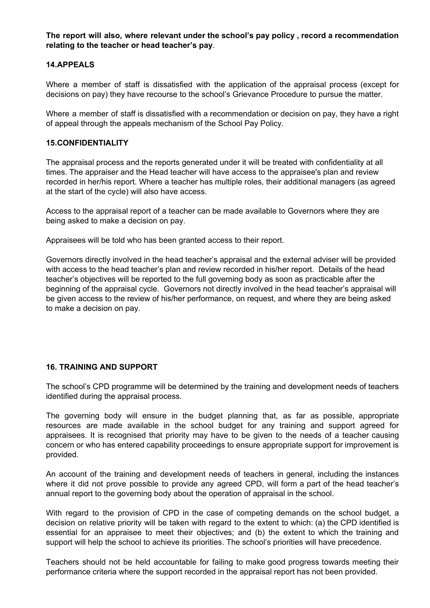**The report will also, where relevant under the school's pay policy , record a recommendation relating to the teacher or head teacher's pay**.

## **14.APPEALS**

Where a member of staff is dissatisfied with the application of the appraisal process (except for decisions on pay) they have recourse to the school's Grievance Procedure to pursue the matter.

Where a member of staff is dissatisfied with a recommendation or decision on pay, they have a right of appeal through the appeals mechanism of the School Pay Policy.

## **15.CONFIDENTIALITY**

The appraisal process and the reports generated under it will be treated with confidentiality at all times. The appraiser and the Head teacher will have access to the appraisee's plan and review recorded in her/his report. Where a teacher has multiple roles, their additional managers (as agreed at the start of the cycle) will also have access.

Access to the appraisal report of a teacher can be made available to Governors where they are being asked to make a decision on pay.

Appraisees will be told who has been granted access to their report.

Governors directly involved in the head teacher's appraisal and the external adviser will be provided with access to the head teacher's plan and review recorded in his/her report. Details of the head teacher's objectives will be reported to the full governing body as soon as practicable after the beginning of the appraisal cycle. Governors not directly involved in the head teacher's appraisal will be given access to the review of his/her performance, on request, and where they are being asked to make a decision on pay.

## **16. TRAINING AND SUPPORT**

The school's CPD programme will be determined by the training and development needs of teachers identified during the appraisal process.

The governing body will ensure in the budget planning that, as far as possible, appropriate resources are made available in the school budget for any training and support agreed for appraisees. It is recognised that priority may have to be given to the needs of a teacher causing concern or who has entered capability proceedings to ensure appropriate support for improvement is provided.

An account of the training and development needs of teachers in general, including the instances where it did not prove possible to provide any agreed CPD, will form a part of the head teacher's annual report to the governing body about the operation of appraisal in the school.

With regard to the provision of CPD in the case of competing demands on the school budget, a decision on relative priority will be taken with regard to the extent to which: (a) the CPD identified is essential for an appraisee to meet their objectives; and (b) the extent to which the training and support will help the school to achieve its priorities. The school's priorities will have precedence.

Teachers should not be held accountable for failing to make good progress towards meeting their performance criteria where the support recorded in the appraisal report has not been provided.